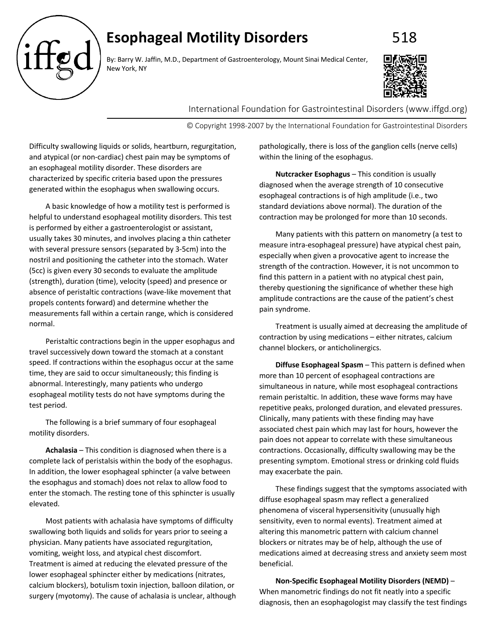## **Esophageal Motility Disorders** 618



By: Barry W. Jaffin, M.D., Department of Gastroenterology, Mount Sinai Medical Center, New York, NY



International Foundation for Gastrointestinal Disorders (www.iffgd.org)

© Copyright 1998-2007 by the International Foundation for Gastrointestinal Disorders

Difficulty swallowing liquids or solids, heartburn, regurgitation, and atypical (or non-cardiac) chest pain may be symptoms of an esophageal motility disorder. These disorders are characterized by specific criteria based upon the pressures generated within the esophagus when swallowing occurs.

A basic knowledge of how a motility test is performed is helpful to understand esophageal motility disorders. This test is performed by either a gastroenterologist or assistant, usually takes 30 minutes, and involves placing a thin catheter with several pressure sensors (separated by 3-5cm) into the nostril and positioning the catheter into the stomach. Water (5cc) is given every 30 seconds to evaluate the amplitude (strength), duration (time), velocity (speed) and presence or absence of peristaltic contractions (wave-like movement that propels contents forward) and determine whether the measurements fall within a certain range, which is considered normal.

Peristaltic contractions begin in the upper esophagus and travel successively down toward the stomach at a constant speed. If contractions within the esophagus occur at the same time, they are said to occur simultaneously; this finding is abnormal. Interestingly, many patients who undergo esophageal motility tests do not have symptoms during the test period.

The following is a brief summary of four esophageal motility disorders.

**Achalasia** – This condition is diagnosed when there is a complete lack of peristalsis within the body of the esophagus. In addition, the lower esophageal sphincter (a valve between the esophagus and stomach) does not relax to allow food to enter the stomach. The resting tone of this sphincter is usually elevated.

Most patients with achalasia have symptoms of difficulty swallowing both liquids and solids for years prior to seeing a physician. Many patients have associated regurgitation, vomiting, weight loss, and atypical chest discomfort. Treatment is aimed at reducing the elevated pressure of the lower esophageal sphincter either by medications (nitrates, calcium blockers), botulism toxin injection, balloon dilation, or surgery (myotomy). The cause of achalasia is unclear, although pathologically, there is loss of the ganglion cells (nerve cells) within the lining of the esophagus.

**Nutcracker Esophagus** – This condition is usually diagnosed when the average strength of 10 consecutive esophageal contractions is of high amplitude (i.e., two standard deviations above normal). The duration of the contraction may be prolonged for more than 10 seconds.

Many patients with this pattern on manometry (a test to measure intra-esophageal pressure) have atypical chest pain, especially when given a provocative agent to increase the strength of the contraction. However, it is not uncommon to find this pattern in a patient with no atypical chest pain, thereby questioning the significance of whether these high amplitude contractions are the cause of the patient's chest pain syndrome.

Treatment is usually aimed at decreasing the amplitude of contraction by using medications – either nitrates, calcium channel blockers, or anticholinergics.

**Diffuse Esophageal Spasm** – This pattern is defined when more than 10 percent of esophageal contractions are simultaneous in nature, while most esophageal contractions remain peristaltic. In addition, these wave forms may have repetitive peaks, prolonged duration, and elevated pressures. Clinically, many patients with these finding may have associated chest pain which may last for hours, however the pain does not appear to correlate with these simultaneous contractions. Occasionally, difficulty swallowing may be the presenting symptom. Emotional stress or drinking cold fluids may exacerbate the pain.

These findings suggest that the symptoms associated with diffuse esophageal spasm may reflect a generalized phenomena of visceral hypersensitivity (unusually high sensitivity, even to normal events). Treatment aimed at altering this manometric pattern with calcium channel blockers or nitrates may be of help, although the use of medications aimed at decreasing stress and anxiety seem most beneficial.

**Non-Specific Esophageal Motility Disorders (NEMD)** – When manometric findings do not fit neatly into a specific diagnosis, then an esophagologist may classify the test findings